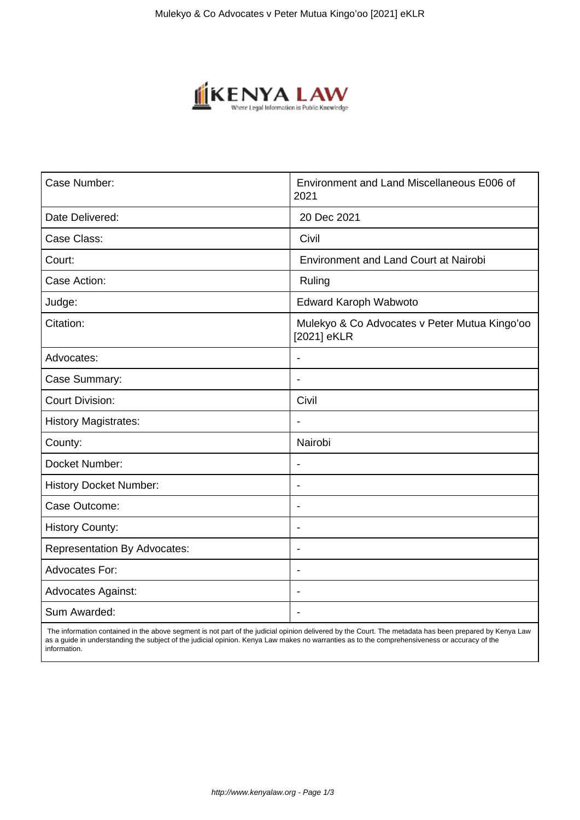

| Case Number:                        | Environment and Land Miscellaneous E006 of<br>2021           |
|-------------------------------------|--------------------------------------------------------------|
| Date Delivered:                     | 20 Dec 2021                                                  |
| Case Class:                         | Civil                                                        |
| Court:                              | <b>Environment and Land Court at Nairobi</b>                 |
| Case Action:                        | Ruling                                                       |
| Judge:                              | Edward Karoph Wabwoto                                        |
| Citation:                           | Mulekyo & Co Advocates v Peter Mutua Kingo'oo<br>[2021] eKLR |
| Advocates:                          |                                                              |
| Case Summary:                       | $\overline{\phantom{0}}$                                     |
| <b>Court Division:</b>              | Civil                                                        |
| <b>History Magistrates:</b>         | Ĭ.                                                           |
| County:                             | Nairobi                                                      |
| Docket Number:                      | $\qquad \qquad \blacksquare$                                 |
| <b>History Docket Number:</b>       | $\blacksquare$                                               |
| Case Outcome:                       | $\blacksquare$                                               |
| <b>History County:</b>              | $\blacksquare$                                               |
| <b>Representation By Advocates:</b> | $\qquad \qquad \blacksquare$                                 |
| Advocates For:                      | $\blacksquare$                                               |
| <b>Advocates Against:</b>           |                                                              |
| Sum Awarded:                        |                                                              |

 The information contained in the above segment is not part of the judicial opinion delivered by the Court. The metadata has been prepared by Kenya Law as a guide in understanding the subject of the judicial opinion. Kenya Law makes no warranties as to the comprehensiveness or accuracy of the information.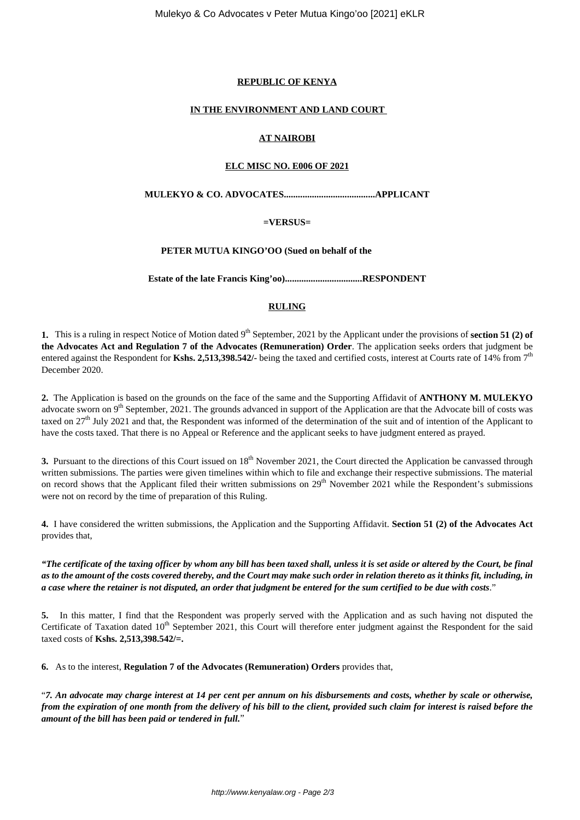# **REPUBLIC OF KENYA**

### **IN THE ENVIRONMENT AND LAND COURT**

### **AT NAIROBI**

### **ELC MISC NO. E006 OF 2021**

### **MULEKYO & CO. ADVOCATES.......................................APPLICANT**

### **=VERSUS=**

### **PETER MUTUA KINGO'OO (Sued on behalf of the**

**Estate of the late Francis King'oo).................................RESPONDENT**

# **RULING**

**1.** This is a ruling in respect Notice of Motion dated 9<sup>th</sup> September, 2021 by the Applicant under the provisions of **section 51 (2) of the Advocates Act and Regulation 7 of the Advocates (Remuneration) Order**. The application seeks orders that judgment be entered against the Respondent for **Kshs. 2,513,398.542/-** being the taxed and certified costs, interest at Courts rate of 14% from 7<sup>th</sup> December 2020.

**2.** The Application is based on the grounds on the face of the same and the Supporting Affidavit of **ANTHONY M. MULEKYO** advocate sworn on  $9<sup>th</sup>$  September, 2021. The grounds advanced in support of the Application are that the Advocate bill of costs was taxed on  $27<sup>th</sup>$  July 2021 and that, the Respondent was informed of the determination of the suit and of intention of the Applicant to have the costs taxed. That there is no Appeal or Reference and the applicant seeks to have judgment entered as prayed.

**3.** Pursuant to the directions of this Court issued on 18<sup>th</sup> November 2021, the Court directed the Application be canvassed through written submissions. The parties were given timelines within which to file and exchange their respective submissions. The material on record shows that the Applicant filed their written submissions on 29<sup>th</sup> November 2021 while the Respondent's submissions were not on record by the time of preparation of this Ruling.

**4.** I have considered the written submissions, the Application and the Supporting Affidavit. **Section 51 (2) of the Advocates Act** provides that,

*"The certificate of the taxing officer by whom any bill has been taxed shall, unless it is set aside or altered by the Court, be final as to the amount of the costs covered thereby, and the Court may make such order in relation thereto as it thinks fit, including, in a case where the retainer is not disputed, an order that judgment be entered for the sum certified to be due with costs*."

**5.** In this matter, I find that the Respondent was properly served with the Application and as such having not disputed the Certificate of Taxation dated  $10<sup>th</sup>$  September 2021, this Court will therefore enter judgment against the Respondent for the said taxed costs of **Kshs. 2,513,398.542/=.**

**6.** As to the interest, **Regulation 7 of the Advocates (Remuneration) Orders** provides that,

"*7. An advocate may charge interest at 14 per cent per annum on his disbursements and costs, whether by scale or otherwise, from the expiration of one month from the delivery of his bill to the client, provided such claim for interest is raised before the amount of the bill has been paid or tendered in full.*"